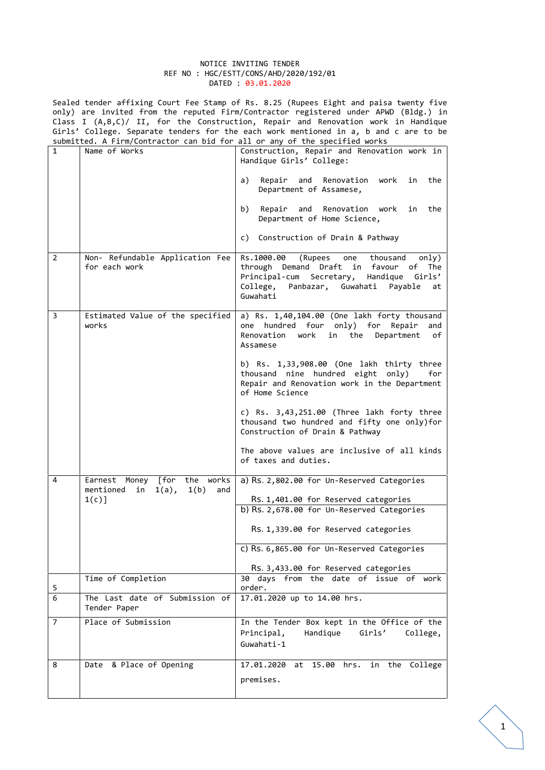#### NOTICE INVITING TENDER REF NO : HGC/ESTT/CONS/AHD/2020/192/01 DATED : 03.01.2020

Sealed tender affixing Court Fee Stamp of Rs. 8.25 (Rupees Eight and paisa twenty five only) are invited from the reputed Firm/Contractor registered under APWD (Bldg.) in Class I (A,B,C)/ II, for the Construction, Repair and Renovation work in Handique Girls' College. Separate tenders for the each work mentioned in a, b and c are to be submitted. A Firm/Contractor can bid for all or any of the specified works

| $\mathbf{1}$   | Name of Works                                                          | Construction, Repair and Renovation work in<br>Handique Girls' College:                                                                                                                         |
|----------------|------------------------------------------------------------------------|-------------------------------------------------------------------------------------------------------------------------------------------------------------------------------------------------|
|                |                                                                        | a)<br>Repair and Renovation work in the<br>Department of Assamese,                                                                                                                              |
|                |                                                                        | Repair and Renovation work in the<br>b)<br>Department of Home Science,                                                                                                                          |
|                |                                                                        | c) Construction of Drain & Pathway                                                                                                                                                              |
| $\overline{2}$ | Non- Refundable Application Fee<br>for each work                       | Rs.1000.00 (Rupees<br>one<br>thousand<br>only)<br>through Demand Draft in favour of The<br>Principal-cum Secretary,<br>Handique Girls'<br>College, Panbazar, Guwahati Payable<br>at<br>Guwahati |
| 3              | Estimated Value of the specified<br>works                              | a) Rs. 1,40,104.00 (One lakh forty thousand<br>one hundred four only) for Repair<br>and<br>Renovation<br>work in the Department<br>of<br>Assamese                                               |
|                |                                                                        | b) Rs. 1,33,908.00 (One lakh thirty three<br>thousand nine hundred eight only)<br>for<br>Repair and Renovation work in the Department<br>of Home Science                                        |
|                |                                                                        | c) $Rs. 3,43,251.00$ (Three lakh forty three<br>thousand two hundred and fifty one only)for<br>Construction of Drain & Pathway                                                                  |
|                |                                                                        | The above values are inclusive of all kinds<br>of taxes and duties.                                                                                                                             |
| 4              | Earnest Money [for the works<br>in $1(a)$ , $1(b)$<br>mentioned<br>and | a) Rs. 2,802.00 for Un-Reserved Categories                                                                                                                                                      |
|                | $1(c)$ ]                                                               | Rs. 1,401.00 for Reserved categories<br>b) Rs. 2,678.00 for Un-Reserved Categories                                                                                                              |
|                |                                                                        | Rs. 1,339.00 for Reserved categories                                                                                                                                                            |
|                |                                                                        | c) Rs. 6,865.00 for Un-Reserved Categories                                                                                                                                                      |
|                |                                                                        | Rs. 3,433.00 for Reserved categories                                                                                                                                                            |
| 5              | Time of Completion                                                     | 30 days from the date of issue of work<br>order.                                                                                                                                                |
| 6              | The Last date of Submission of<br>Tender Paper                         | 17.01.2020 up to 14.00 hrs.                                                                                                                                                                     |
| $\overline{7}$ | Place of Submission                                                    | In the Tender Box kept in the Office of the<br>Principal,<br>Handique<br>Girls'<br>College,<br>Guwahati-1                                                                                       |
| 8              | Date & Place of Opening                                                | 17.01.2020 at 15.00 hrs. in the College<br>premises.                                                                                                                                            |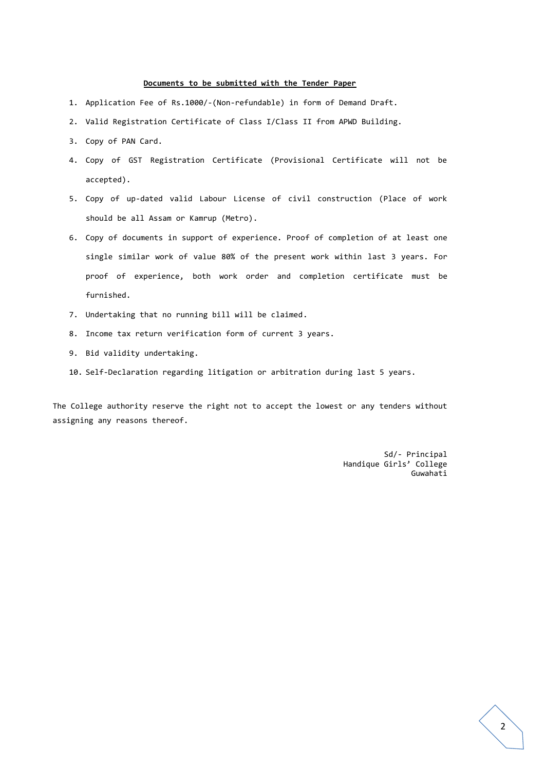#### **Documents to be submitted with the Tender Paper**

- 1. Application Fee of Rs.1000/-(Non-refundable) in form of Demand Draft.
- 2. Valid Registration Certificate of Class I/Class II from APWD Building.
- 3. Copy of PAN Card.
- 4. Copy of GST Registration Certificate (Provisional Certificate will not be accepted).
- 5. Copy of up-dated valid Labour License of civil construction (Place of work should be all Assam or Kamrup (Metro).
- 6. Copy of documents in support of experience. Proof of completion of at least one single similar work of value 80% of the present work within last 3 years. For proof of experience, both work order and completion certificate must be furnished.
- 7. Undertaking that no running bill will be claimed.
- 8. Income tax return verification form of current 3 years.
- 9. Bid validity undertaking.
- 10. Self-Declaration regarding litigation or arbitration during last 5 years.

The College authority reserve the right not to accept the lowest or any tenders without assigning any reasons thereof.

> Sd/- Principal Handique Girls' College Guwahati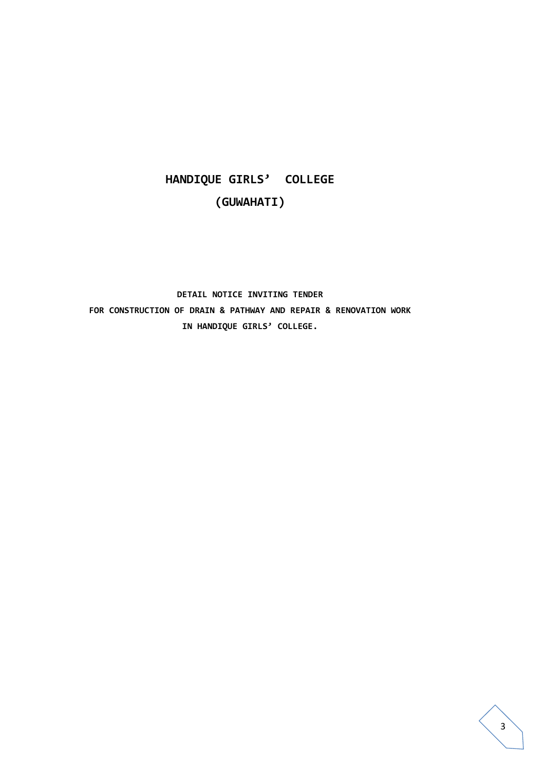# **HANDIQUE GIRLS' COLLEGE (GUWAHATI)**

## **DETAIL NOTICE INVITING TENDER FOR CONSTRUCTION OF DRAIN & PATHWAY AND REPAIR & RENOVATION WORK IN HANDIQUE GIRLS' COLLEGE.**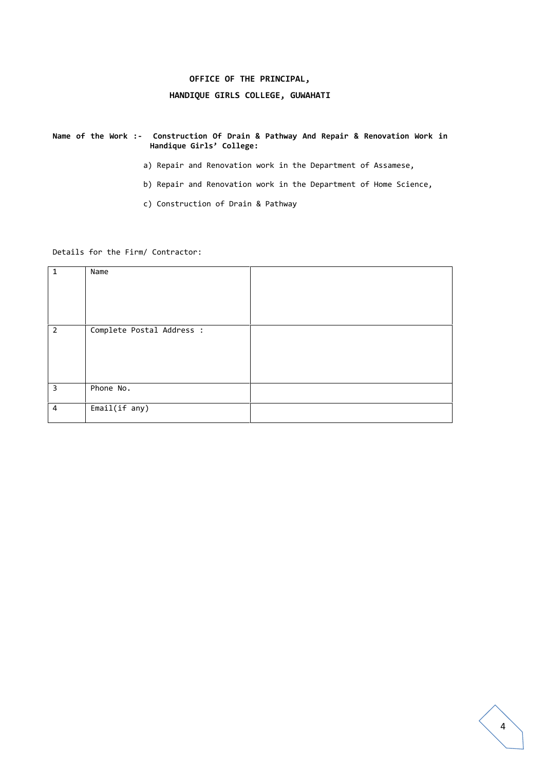## **OFFICE OF THE PRINCIPAL, HANDIQUE GIRLS COLLEGE, GUWAHATI**

**Name of the Work :- Construction Of Drain & Pathway And Repair & Renovation Work in Handique Girls' College:**

- a) Repair and Renovation work in the Department of Assamese,
- b) Repair and Renovation work in the Department of Home Science,
- c) Construction of Drain & Pathway

Details for the Firm/ Contractor:

| $\mathbf{1}$   | Name                      |  |
|----------------|---------------------------|--|
| $\overline{2}$ | Complete Postal Address : |  |
| 3              | Phone No.                 |  |
| $\overline{4}$ | Email(if any)             |  |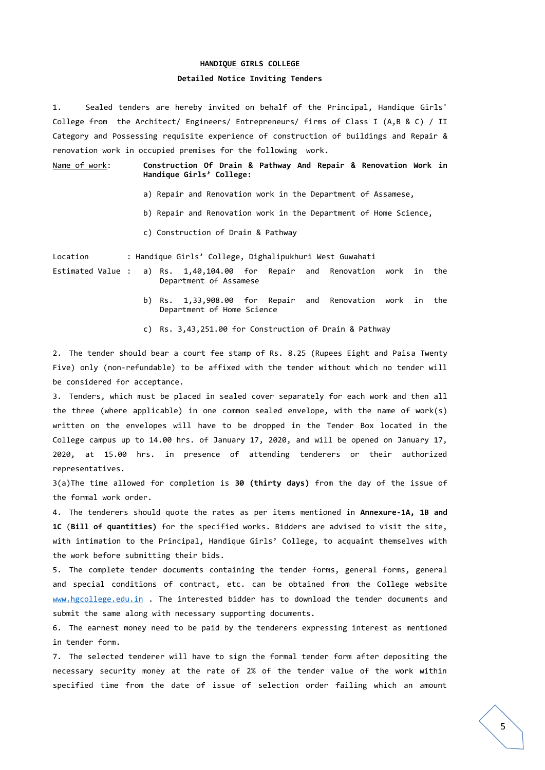## **HANDIQUE GIRLS COLLEGE**

## **Detailed Notice Inviting Tenders**

1. Sealed tenders are hereby invited on behalf of the Principal, Handique Girls' College from the Architect/ Engineers/ Entrepreneurs/ firms of Class I (A,B & C) / II Category and Possessing requisite experience of construction of buildings and Repair & renovation work in occupied premises for the following work.

Name of work: **Construction Of Drain & Pathway And Repair & Renovation Work in Handique Girls' College:**

- a) Repair and Renovation work in the Department of Assamese,
- b) Repair and Renovation work in the Department of Home Science,
- c) Construction of Drain & Pathway

Location : Handique Girls' College, Dighalipukhuri West Guwahati

- Estimated Value : a) Rs. 1,40,104.00 for Repair and Renovation work in the Department of Assamese
	- b) Rs. 1,33,908.00 for Repair and Renovation work in the Department of Home Science
	- c) Rs. 3,43,251.00 for Construction of Drain & Pathway

2. The tender should bear a court fee stamp of Rs. 8.25 (Rupees Eight and Paisa Twenty Five) only (non-refundable) to be affixed with the tender without which no tender will be considered for acceptance.

3. Tenders, which must be placed in sealed cover separately for each work and then all the three (where applicable) in one common sealed envelope, with the name of work(s) written on the envelopes will have to be dropped in the Tender Box located in the College campus up to 14.00 hrs. of January 17, 2020, and will be opened on January 17, 2020, at 15.00 hrs. in presence of attending tenderers or their authorized representatives.

3(a)The time allowed for completion is **30 (thirty days)** from the day of the issue of the formal work order.

4. The tenderers should quote the rates as per items mentioned in **Annexure-1A, 1B and 1C** (**Bill of quantities)** for the specified works. Bidders are advised to visit the site, with intimation to the Principal, Handique Girls' College, to acquaint themselves with the work before submitting their bids.

5. The complete tender documents containing the tender forms, general forms, general and special conditions of contract, etc. can be obtained from the College website www.hgcollege.edu.in . The interested bidder has to download the tender documents and submit the same along with necessary supporting documents.

6. The earnest money need to be paid by the tenderers expressing interest as mentioned in tender form.

7. The selected tenderer will have to sign the formal tender form after depositing the necessary security money at the rate of 2% of the tender value of the work within specified time from the date of issue of selection order failing which an amount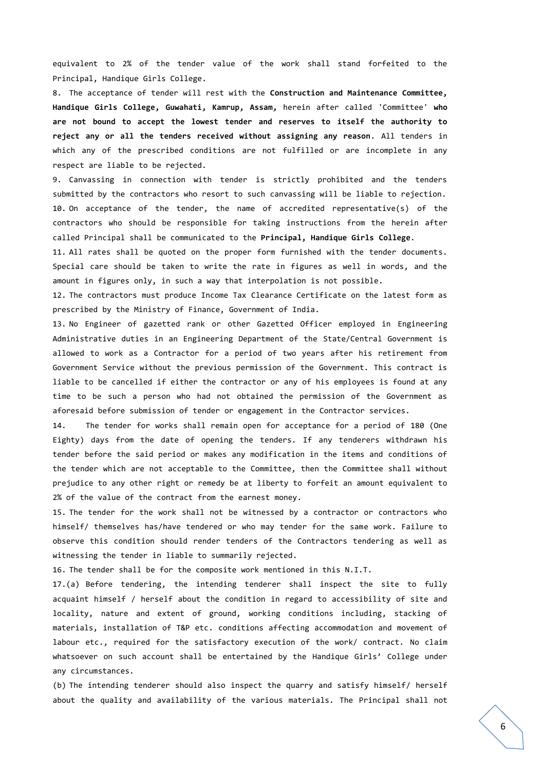equivalent to 2% of the tender value of the work shall stand forfeited to the Principal, Handique Girls College.

8. The acceptance of tender will rest with the **Construction and Maintenance Committee, Handique Girls College, Guwahati, Kamrup, Assam,** herein after called 'Committee' **who are not bound to accept the lowest tender and reserves to itself the authority to reject any or all the tenders received without assigning any reason**. All tenders in which any of the prescribed conditions are not fulfilled or are incomplete in any respect are liable to be rejected.

9. Canvassing in connection with tender is strictly prohibited and the tenders submitted by the contractors who resort to such canvassing will be liable to rejection. 10. On acceptance of the tender, the name of accredited representative(s) of the contractors who should be responsible for taking instructions from the herein after called Principal shall be communicated to the **Principal, Handique Girls College**.

11. All rates shall be quoted on the proper form furnished with the tender documents. Special care should be taken to write the rate in figures as well in words, and the amount in figures only, in such a way that interpolation is not possible.

12. The contractors must produce Income Tax Clearance Certificate on the latest form as prescribed by the Ministry of Finance, Government of India.

13. No Engineer of gazetted rank or other Gazetted Officer employed in Engineering Administrative duties in an Engineering Department of the State/Central Government is allowed to work as a Contractor for a period of two years after his retirement from Government Service without the previous permission of the Government. This contract is liable to be cancelled if either the contractor or any of his employees is found at any time to be such a person who had not obtained the permission of the Government as aforesaid before submission of tender or engagement in the Contractor services.

14. The tender for works shall remain open for acceptance for a period of 180 (One Eighty) days from the date of opening the tenders. If any tenderers withdrawn his tender before the said period or makes any modification in the items and conditions of the tender which are not acceptable to the Committee, then the Committee shall without prejudice to any other right or remedy be at liberty to forfeit an amount equivalent to 2% of the value of the contract from the earnest money.

15. The tender for the work shall not be witnessed by a contractor or contractors who himself/ themselves has/have tendered or who may tender for the same work. Failure to observe this condition should render tenders of the Contractors tendering as well as witnessing the tender in liable to summarily rejected.

16. The tender shall be for the composite work mentioned in this N.I.T.

17.(a) Before tendering, the intending tenderer shall inspect the site to fully acquaint himself / herself about the condition in regard to accessibility of site and locality, nature and extent of ground, working conditions including, stacking of materials, installation of T&P etc. conditions affecting accommodation and movement of labour etc., required for the satisfactory execution of the work/ contract. No claim whatsoever on such account shall be entertained by the Handique Girls' College under any circumstances.

(b) The intending tenderer should also inspect the quarry and satisfy himself/ herself about the quality and availability of the various materials. The Principal shall not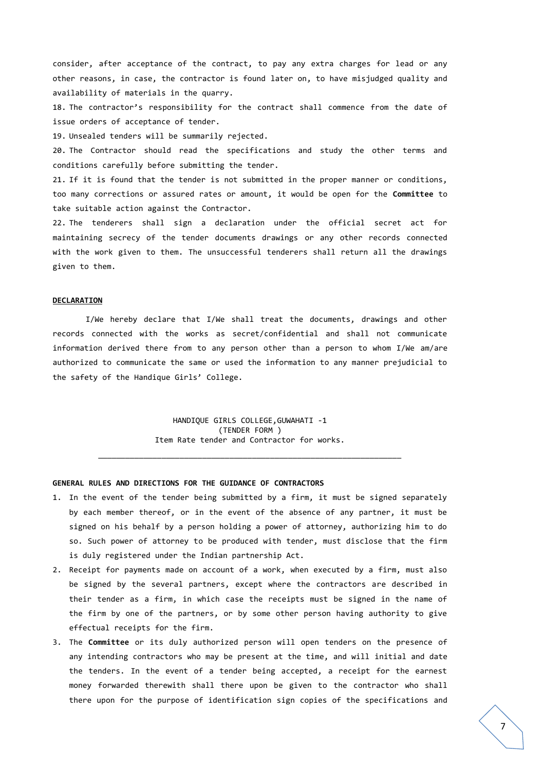consider, after acceptance of the contract, to pay any extra charges for lead or any other reasons, in case, the contractor is found later on, to have misjudged quality and availability of materials in the quarry.

18. The contractor's responsibility for the contract shall commence from the date of issue orders of acceptance of tender.

19. Unsealed tenders will be summarily rejected.

20. The Contractor should read the specifications and study the other terms and conditions carefully before submitting the tender.

21. If it is found that the tender is not submitted in the proper manner or conditions, too many corrections or assured rates or amount, it would be open for the **Committee** to take suitable action against the Contractor.

22. The tenderers shall sign a declaration under the official secret act for maintaining secrecy of the tender documents drawings or any other records connected with the work given to them. The unsuccessful tenderers shall return all the drawings given to them.

#### **DECLARATION**

I/We hereby declare that I/We shall treat the documents, drawings and other records connected with the works as secret/confidential and shall not communicate information derived there from to any person other than a person to whom I/We am/are authorized to communicate the same or used the information to any manner prejudicial to the safety of the Handique Girls' College.

> HANDIQUE GIRLS COLLEGE,GUWAHATI -1 (TENDER FORM ) Item Rate tender and Contractor for works.

\_\_\_\_\_\_\_\_\_\_\_\_\_\_\_\_\_\_\_\_\_\_\_\_\_\_\_\_\_\_\_\_\_\_\_\_\_\_\_\_\_\_\_\_\_\_\_\_\_\_\_\_\_\_\_\_\_\_\_\_\_\_\_\_\_\_\_

### **GENERAL RULES AND DIRECTIONS FOR THE GUIDANCE OF CONTRACTORS**

- 1. In the event of the tender being submitted by a firm, it must be signed separately by each member thereof, or in the event of the absence of any partner, it must be signed on his behalf by a person holding a power of attorney, authorizing him to do so. Such power of attorney to be produced with tender, must disclose that the firm is duly registered under the Indian partnership Act.
- 2. Receipt for payments made on account of a work, when executed by a firm, must also be signed by the several partners, except where the contractors are described in their tender as a firm, in which case the receipts must be signed in the name of the firm by one of the partners, or by some other person having authority to give effectual receipts for the firm.
- 3. The **Committee** or its duly authorized person will open tenders on the presence of any intending contractors who may be present at the time, and will initial and date the tenders. In the event of a tender being accepted, a receipt for the earnest money forwarded therewith shall there upon be given to the contractor who shall there upon for the purpose of identification sign copies of the specifications and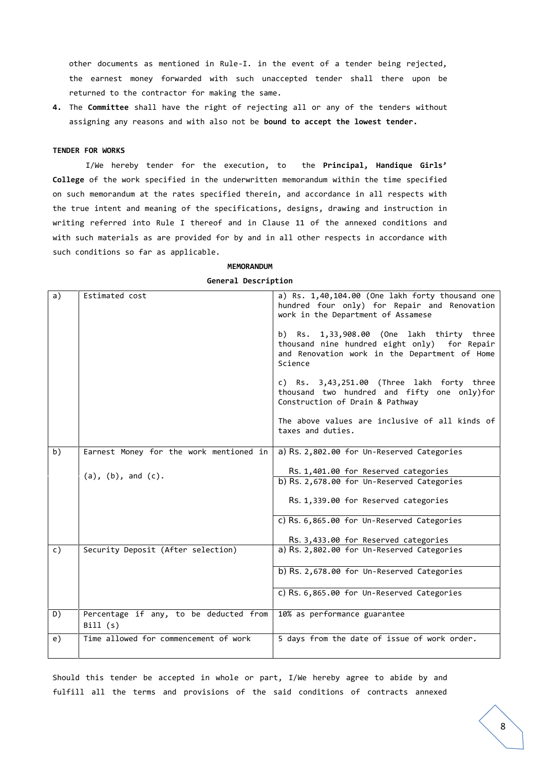other documents as mentioned in Rule-I. in the event of a tender being rejected, the earnest money forwarded with such unaccepted tender shall there upon be returned to the contractor for making the same.

**4.** The **Committee** shall have the right of rejecting all or any of the tenders without assigning any reasons and with also not be **bound to accept the lowest tender.**

### **TENDER FOR WORKS**

I/We hereby tender for the execution, to the **Principal, Handique Girls' College** of the work specified in the underwritten memorandum within the time specified on such memorandum at the rates specified therein, and accordance in all respects with the true intent and meaning of the specifications, designs, drawing and instruction in writing referred into Rule I thereof and in Clause 11 of the annexed conditions and with such materials as are provided for by and in all other respects in accordance with such conditions so far as applicable.

#### **MEMORANDUM**

**General Description**

| a)             | Estimated cost                                    | a) Rs. $1,40,104.00$ (One lakh forty thousand one<br>hundred four only) for Repair and Renovation<br>work in the Department of Assamese                 |
|----------------|---------------------------------------------------|---------------------------------------------------------------------------------------------------------------------------------------------------------|
|                |                                                   | b) $Rs. 1,33,908.00$ (One lakh thirty three<br>thousand nine hundred eight only) for Repair<br>and Renovation work in the Department of Home<br>Science |
|                |                                                   | c) Rs. $3,43,251.00$ (Three lakh forty three<br>thousand two hundred and fifty one only)for<br>Construction of Drain & Pathway                          |
|                |                                                   | The above values are inclusive of all kinds of<br>taxes and duties.                                                                                     |
| b)             | Earnest Money for the work mentioned in           | a) Rs. 2,802.00 for Un-Reserved Categories                                                                                                              |
|                |                                                   | Rs. 1,401.00 for Reserved categories                                                                                                                    |
|                | $(a)$ , $(b)$ , and $(c)$ .                       | b) Rs. 2,678.00 for Un-Reserved Categories                                                                                                              |
|                |                                                   | Rs. 1,339.00 for Reserved categories                                                                                                                    |
|                |                                                   | c) Rs. 6,865.00 for Un-Reserved Categories                                                                                                              |
|                |                                                   | Rs. 3,433.00 for Reserved categories                                                                                                                    |
| $\mathsf{c}$ ) | Security Deposit (After selection)                | a) Rs. 2,802.00 for Un-Reserved Categories                                                                                                              |
|                |                                                   | b) Rs. 2,678.00 for Un-Reserved Categories                                                                                                              |
|                |                                                   | c) Rs. 6,865.00 for Un-Reserved Categories                                                                                                              |
| D)             | Percentage if any, to be deducted from<br>Bill(s) | 10% as performance guarantee                                                                                                                            |
| e)             | Time allowed for commencement of work             | 5 days from the date of issue of work order.                                                                                                            |

Should this tender be accepted in whole or part, I/We hereby agree to abide by and fulfill all the terms and provisions of the said conditions of contracts annexed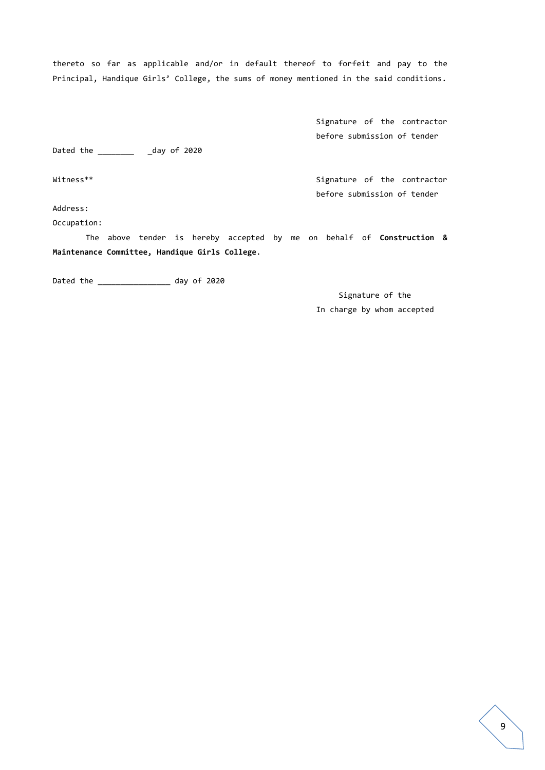thereto so far as applicable and/or in default thereof to forfeit and pay to the Principal, Handique Girls' College, the sums of money mentioned in the said conditions.

> Signature of the contractor before submission of tender

before submission of tender

Dated the \_\_\_\_\_\_\_\_\_\_\_ \_day of 2020

Witness\*\* Signature of the contractor

Address:

Occupation:

The above tender is hereby accepted by me on behalf of **Construction & Maintenance Committee, Handique Girls College**.

Dated the \_\_\_\_\_\_\_\_\_\_\_\_\_\_\_\_\_\_ day of 2020

Signature of the In charge by whom accepted

 $\overline{9}$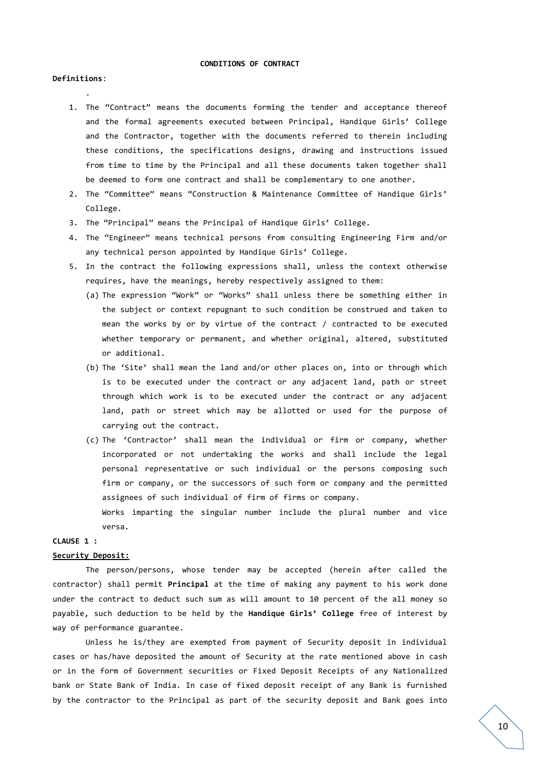#### **CONDITIONS OF CONTRACT**

#### **Definitions**:

.

- 1. The "Contract" means the documents forming the tender and acceptance thereof and the formal agreements executed between Principal, Handique Girls' College and the Contractor, together with the documents referred to therein including these conditions, the specifications designs, drawing and instructions issued from time to time by the Principal and all these documents taken together shall be deemed to form one contract and shall be complementary to one another.
- 2. The "Committee" means "Construction & Maintenance Committee of Handique Girls' College.
- 3. The "Principal" means the Principal of Handique Girls' College.
- 4. The "Engineer" means technical persons from consulting Engineering Firm and/or any technical person appointed by Handique Girls' College.
- 5. In the contract the following expressions shall, unless the context otherwise requires, have the meanings, hereby respectively assigned to them:
	- (a) The expression "Work" or "Works" shall unless there be something either in the subject or context repugnant to such condition be construed and taken to mean the works by or by virtue of the contract / contracted to be executed whether temporary or permanent, and whether original, altered, substituted or additional.
	- (b) The 'Site' shall mean the land and/or other places on, into or through which is to be executed under the contract or any adjacent land, path or street through which work is to be executed under the contract or any adjacent land, path or street which may be allotted or used for the purpose of carrying out the contract.
	- (c) The 'Contractor' shall mean the individual or firm or company, whether incorporated or not undertaking the works and shall include the legal personal representative or such individual or the persons composing such firm or company, or the successors of such form or company and the permitted assignees of such individual of firm of firms or company.

Works imparting the singular number include the plural number and vice versa.

#### **CLAUSE 1 :**

#### **Security Deposit:**

The person/persons, whose tender may be accepted (herein after called the contractor) shall permit **Principal** at the time of making any payment to his work done under the contract to deduct such sum as will amount to 10 percent of the all money so payable, such deduction to be held by the **Handique Girls' College** free of interest by way of performance guarantee.

Unless he is/they are exempted from payment of Security deposit in individual cases or has/have deposited the amount of Security at the rate mentioned above in cash or in the form of Government securities or Fixed Deposit Receipts of any Nationalized bank or State Bank of India. In case of fixed deposit receipt of any Bank is furnished by the contractor to the Principal as part of the security deposit and Bank goes into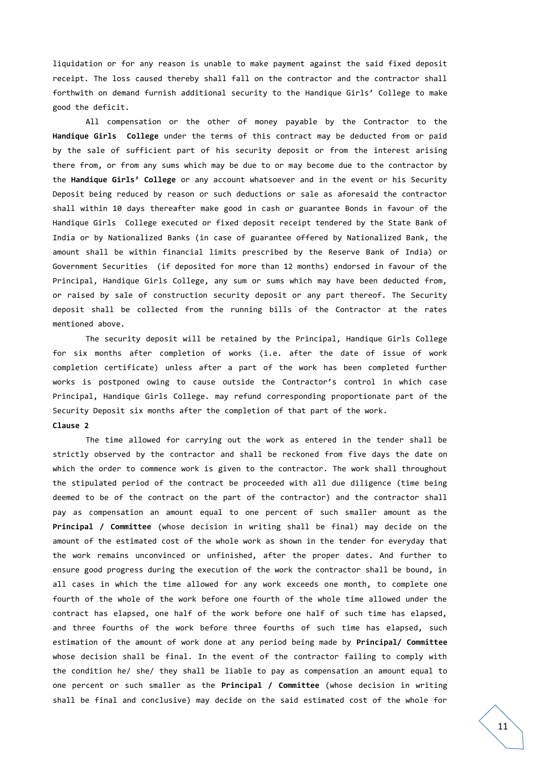liquidation or for any reason is unable to make payment against the said fixed deposit receipt. The loss caused thereby shall fall on the contractor and the contractor shall forthwith on demand furnish additional security to the Handique Girls' College to make good the deficit.

All compensation or the other of money payable by the Contractor to the **Handique Girls College** under the terms of this contract may be deducted from or paid by the sale of sufficient part of his security deposit or from the interest arising there from, or from any sums which may be due to or may become due to the contractor by the **Handique Girls' College** or any account whatsoever and in the event or his Security Deposit being reduced by reason or such deductions or sale as aforesaid the contractor shall within 10 days thereafter make good in cash or guarantee Bonds in favour of the Handique Girls College executed or fixed deposit receipt tendered by the State Bank of India or by Nationalized Banks (in case of guarantee offered by Nationalized Bank, the amount shall be within financial limits prescribed by the Reserve Bank of India) or Government Securities (if deposited for more than 12 months) endorsed in favour of the Principal, Handique Girls College, any sum or sums which may have been deducted from, or raised by sale of construction security deposit or any part thereof. The Security deposit shall be collected from the running bills of the Contractor at the rates mentioned above.

The security deposit will be retained by the Principal, Handique Girls College for six months after completion of works (i.e. after the date of issue of work completion certificate) unless after a part of the work has been completed further works is postponed owing to cause outside the Contractor's control in which case Principal, Handique Girls College. may refund corresponding proportionate part of the Security Deposit six months after the completion of that part of the work. **Clause 2**

The time allowed for carrying out the work as entered in the tender shall be strictly observed by the contractor and shall be reckoned from five days the date on which the order to commence work is given to the contractor. The work shall throughout the stipulated period of the contract be proceeded with all due diligence (time being deemed to be of the contract on the part of the contractor) and the contractor shall pay as compensation an amount equal to one percent of such smaller amount as the **Principal / Committee** (whose decision in writing shall be final) may decide on the amount of the estimated cost of the whole work as shown in the tender for everyday that the work remains unconvinced or unfinished, after the proper dates. And further to ensure good progress during the execution of the work the contractor shall be bound, in all cases in which the time allowed for any work exceeds one month, to complete one fourth of the whole of the work before one fourth of the whole time allowed under the contract has elapsed, one half of the work before one half of such time has elapsed, and three fourths of the work before three fourths of such time has elapsed, such estimation of the amount of work done at any period being made by **Principal/ Committee** whose decision shall be final. In the event of the contractor failing to comply with the condition he/ she/ they shall be liable to pay as compensation an amount equal to one percent or such smaller as the **Principal / Committee** (whose decision in writing shall be final and conclusive) may decide on the said estimated cost of the whole for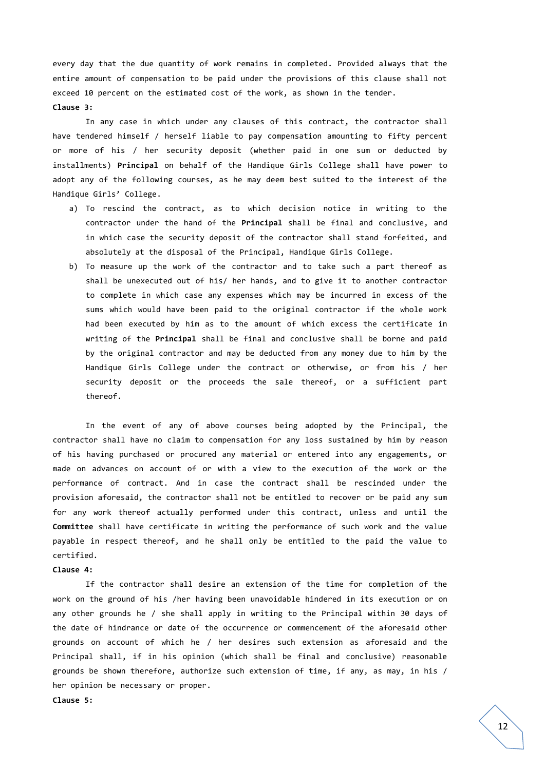every day that the due quantity of work remains in completed. Provided always that the entire amount of compensation to be paid under the provisions of this clause shall not exceed 10 percent on the estimated cost of the work, as shown in the tender. **Clause 3:**

In any case in which under any clauses of this contract, the contractor shall have tendered himself / herself liable to pay compensation amounting to fifty percent or more of his / her security deposit (whether paid in one sum or deducted by installments) **Principal** on behalf of the Handique Girls College shall have power to adopt any of the following courses, as he may deem best suited to the interest of the Handique Girls' College.

- a) To rescind the contract, as to which decision notice in writing to the contractor under the hand of the **Principal** shall be final and conclusive, and in which case the security deposit of the contractor shall stand forfeited, and absolutely at the disposal of the Principal, Handique Girls College.
- b) To measure up the work of the contractor and to take such a part thereof as shall be unexecuted out of his/ her hands, and to give it to another contractor to complete in which case any expenses which may be incurred in excess of the sums which would have been paid to the original contractor if the whole work had been executed by him as to the amount of which excess the certificate in writing of the **Principal** shall be final and conclusive shall be borne and paid by the original contractor and may be deducted from any money due to him by the Handique Girls College under the contract or otherwise, or from his / her security deposit or the proceeds the sale thereof, or a sufficient part thereof.

In the event of any of above courses being adopted by the Principal, the contractor shall have no claim to compensation for any loss sustained by him by reason of his having purchased or procured any material or entered into any engagements, or made on advances on account of or with a view to the execution of the work or the performance of contract. And in case the contract shall be rescinded under the provision aforesaid, the contractor shall not be entitled to recover or be paid any sum for any work thereof actually performed under this contract, unless and until the **Committee** shall have certificate in writing the performance of such work and the value payable in respect thereof, and he shall only be entitled to the paid the value to certified.

#### **Clause 4:**

If the contractor shall desire an extension of the time for completion of the work on the ground of his /her having been unavoidable hindered in its execution or on any other grounds he / she shall apply in writing to the Principal within 30 days of the date of hindrance or date of the occurrence or commencement of the aforesaid other grounds on account of which he / her desires such extension as aforesaid and the Principal shall, if in his opinion (which shall be final and conclusive) reasonable grounds be shown therefore, authorize such extension of time, if any, as may, in his / her opinion be necessary or proper.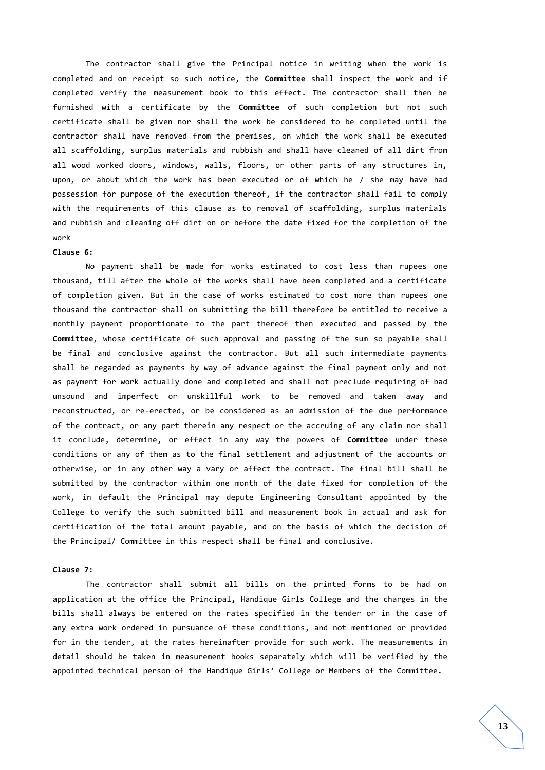The contractor shall give the Principal notice in writing when the work is completed and on receipt so such notice, the **Committee** shall inspect the work and if completed verify the measurement book to this effect. The contractor shall then be furnished with a certificate by the **Committee** of such completion but not such certificate shall be given nor shall the work be considered to be completed until the contractor shall have removed from the premises, on which the work shall be executed all scaffolding, surplus materials and rubbish and shall have cleaned of all dirt from all wood worked doors, windows, walls, floors, or other parts of any structures in, upon, or about which the work has been executed or of which he / she may have had possession for purpose of the execution thereof, if the contractor shall fail to comply with the requirements of this clause as to removal of scaffolding, surplus materials and rubbish and cleaning off dirt on or before the date fixed for the completion of the work

#### **Clause 6:**

No payment shall be made for works estimated to cost less than rupees one thousand, till after the whole of the works shall have been completed and a certificate of completion given. But in the case of works estimated to cost more than rupees one thousand the contractor shall on submitting the bill therefore be entitled to receive a monthly payment proportionate to the part thereof then executed and passed by the **Committee**, whose certificate of such approval and passing of the sum so payable shall be final and conclusive against the contractor. But all such intermediate payments shall be regarded as payments by way of advance against the final payment only and not as payment for work actually done and completed and shall not preclude requiring of bad unsound and imperfect or unskillful work to be removed and taken away and reconstructed, or re-erected, or be considered as an admission of the due performance of the contract, or any part therein any respect or the accruing of any claim nor shall it conclude, determine, or effect in any way the powers of **Committee** under these conditions or any of them as to the final settlement and adjustment of the accounts or otherwise, or in any other way a vary or affect the contract. The final bill shall be submitted by the contractor within one month of the date fixed for completion of the work, in default the Principal may depute Engineering Consultant appointed by the College to verify the such submitted bill and measurement book in actual and ask for certification of the total amount payable, and on the basis of which the decision of the Principal/ Committee in this respect shall be final and conclusive.

#### **Clause 7:**

The contractor shall submit all bills on the printed forms to be had on application at the office the Principal**,** Handique Girls College and the charges in the bills shall always be entered on the rates specified in the tender or in the case of any extra work ordered in pursuance of these conditions, and not mentioned or provided for in the tender, at the rates hereinafter provide for such work. The measurements in detail should be taken in measurement books separately which will be verified by the appointed technical person of the Handique Girls' College or Members of the Committee**.**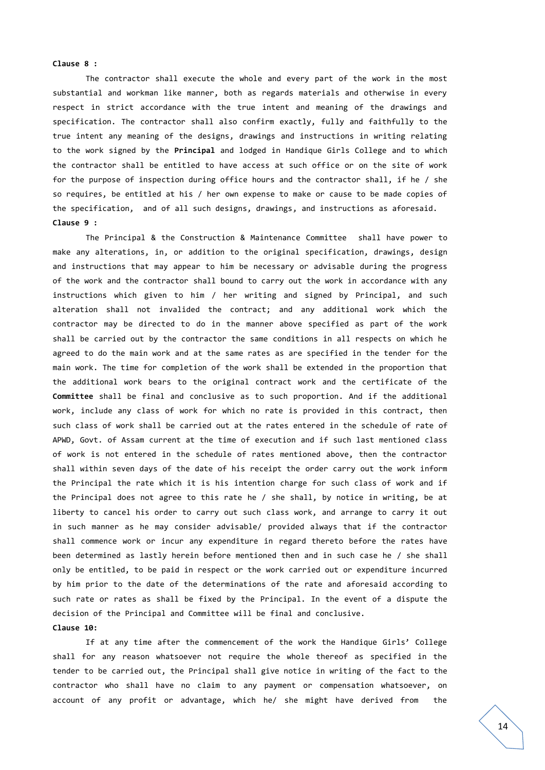#### **Clause 8 :**

The contractor shall execute the whole and every part of the work in the most substantial and workman like manner, both as regards materials and otherwise in every respect in strict accordance with the true intent and meaning of the drawings and specification. The contractor shall also confirm exactly, fully and faithfully to the true intent any meaning of the designs, drawings and instructions in writing relating to the work signed by the **Principal** and lodged in Handique Girls College and to which the contractor shall be entitled to have access at such office or on the site of work for the purpose of inspection during office hours and the contractor shall, if he / she so requires, be entitled at his / her own expense to make or cause to be made copies of the specification, and of all such designs, drawings, and instructions as aforesaid. **Clause 9 :**

The Principal & the Construction & Maintenance Committee shall have power to make any alterations, in, or addition to the original specification, drawings, design and instructions that may appear to him be necessary or advisable during the progress of the work and the contractor shall bound to carry out the work in accordance with any instructions which given to him / her writing and signed by Principal, and such alteration shall not invalided the contract; and any additional work which the contractor may be directed to do in the manner above specified as part of the work shall be carried out by the contractor the same conditions in all respects on which he agreed to do the main work and at the same rates as are specified in the tender for the main work. The time for completion of the work shall be extended in the proportion that the additional work bears to the original contract work and the certificate of the **Committee** shall be final and conclusive as to such proportion. And if the additional work, include any class of work for which no rate is provided in this contract, then such class of work shall be carried out at the rates entered in the schedule of rate of APWD, Govt. of Assam current at the time of execution and if such last mentioned class of work is not entered in the schedule of rates mentioned above, then the contractor shall within seven days of the date of his receipt the order carry out the work inform the Principal the rate which it is his intention charge for such class of work and if the Principal does not agree to this rate he / she shall, by notice in writing, be at liberty to cancel his order to carry out such class work, and arrange to carry it out in such manner as he may consider advisable/ provided always that if the contractor shall commence work or incur any expenditure in regard thereto before the rates have been determined as lastly herein before mentioned then and in such case he / she shall only be entitled, to be paid in respect or the work carried out or expenditure incurred by him prior to the date of the determinations of the rate and aforesaid according to such rate or rates as shall be fixed by the Principal. In the event of a dispute the decision of the Principal and Committee will be final and conclusive.

#### **Clause 10:**

If at any time after the commencement of the work the Handique Girls' College shall for any reason whatsoever not require the whole thereof as specified in the tender to be carried out, the Principal shall give notice in writing of the fact to the contractor who shall have no claim to any payment or compensation whatsoever, on account of any profit or advantage, which he/ she might have derived from the

14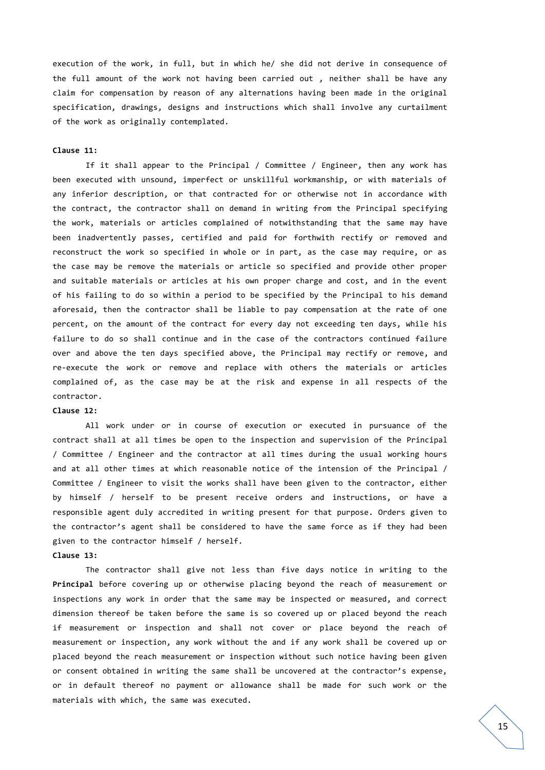execution of the work, in full, but in which he/ she did not derive in consequence of the full amount of the work not having been carried out , neither shall be have any claim for compensation by reason of any alternations having been made in the original specification, drawings, designs and instructions which shall involve any curtailment of the work as originally contemplated.

#### **Clause 11:**

If it shall appear to the Principal / Committee / Engineer, then any work has been executed with unsound, imperfect or unskillful workmanship, or with materials of any inferior description, or that contracted for or otherwise not in accordance with the contract, the contractor shall on demand in writing from the Principal specifying the work, materials or articles complained of notwithstanding that the same may have been inadvertently passes, certified and paid for forthwith rectify or removed and reconstruct the work so specified in whole or in part, as the case may require, or as the case may be remove the materials or article so specified and provide other proper and suitable materials or articles at his own proper charge and cost, and in the event of his failing to do so within a period to be specified by the Principal to his demand aforesaid, then the contractor shall be liable to pay compensation at the rate of one percent, on the amount of the contract for every day not exceeding ten days, while his failure to do so shall continue and in the case of the contractors continued failure over and above the ten days specified above, the Principal may rectify or remove, and re-execute the work or remove and replace with others the materials or articles complained of, as the case may be at the risk and expense in all respects of the contractor.

#### **Clause 12:**

All work under or in course of execution or executed in pursuance of the contract shall at all times be open to the inspection and supervision of the Principal / Committee / Engineer and the contractor at all times during the usual working hours and at all other times at which reasonable notice of the intension of the Principal / Committee / Engineer to visit the works shall have been given to the contractor, either by himself / herself to be present receive orders and instructions, or have a responsible agent duly accredited in writing present for that purpose. Orders given to the contractor's agent shall be considered to have the same force as if they had been given to the contractor himself / herself.

## **Clause 13:**

The contractor shall give not less than five days notice in writing to the **Principal** before covering up or otherwise placing beyond the reach of measurement or inspections any work in order that the same may be inspected or measured, and correct dimension thereof be taken before the same is so covered up or placed beyond the reach if measurement or inspection and shall not cover or place beyond the reach of measurement or inspection, any work without the and if any work shall be covered up or placed beyond the reach measurement or inspection without such notice having been given or consent obtained in writing the same shall be uncovered at the contractor's expense, or in default thereof no payment or allowance shall be made for such work or the materials with which, the same was executed.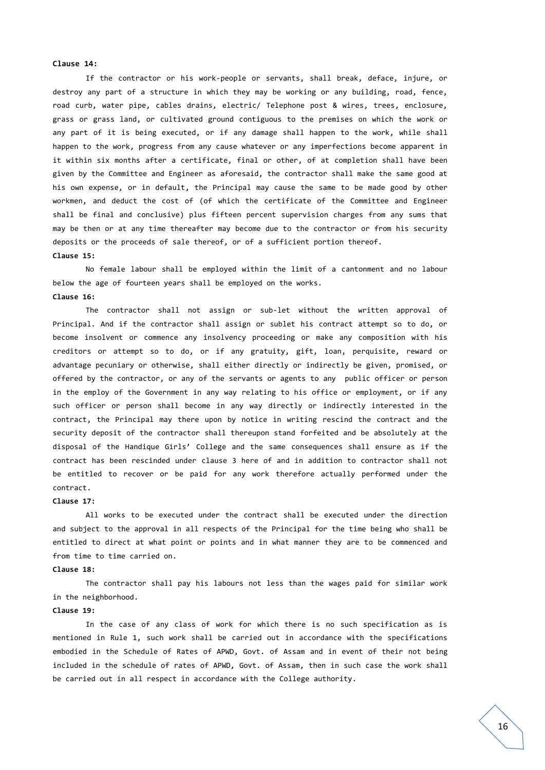#### **Clause 14:**

If the contractor or his work-people or servants, shall break, deface, injure, or destroy any part of a structure in which they may be working or any building, road, fence, road curb, water pipe, cables drains, electric/ Telephone post & wires, trees, enclosure, grass or grass land, or cultivated ground contiguous to the premises on which the work or any part of it is being executed, or if any damage shall happen to the work, while shall happen to the work, progress from any cause whatever or any imperfections become apparent in it within six months after a certificate, final or other, of at completion shall have been given by the Committee and Engineer as aforesaid, the contractor shall make the same good at his own expense, or in default, the Principal may cause the same to be made good by other workmen, and deduct the cost of (of which the certificate of the Committee and Engineer shall be final and conclusive) plus fifteen percent supervision charges from any sums that may be then or at any time thereafter may become due to the contractor or from his security deposits or the proceeds of sale thereof, or of a sufficient portion thereof.

## **Clause 15:**

No female labour shall be employed within the limit of a cantonment and no labour below the age of fourteen years shall be employed on the works. **Clause 16:**

The contractor shall not assign or sub-let without the written approval of Principal. And if the contractor shall assign or sublet his contract attempt so to do, or become insolvent or commence any insolvency proceeding or make any composition with his creditors or attempt so to do, or if any gratuity, gift, loan, perquisite, reward or advantage pecuniary or otherwise, shall either directly or indirectly be given, promised, or offered by the contractor, or any of the servants or agents to any public officer or person in the employ of the Government in any way relating to his office or employment, or if any such officer or person shall become in any way directly or indirectly interested in the contract, the Principal may there upon by notice in writing rescind the contract and the security deposit of the contractor shall thereupon stand forfeited and be absolutely at the disposal of the Handique Girls' College and the same consequences shall ensure as if the contract has been rescinded under clause 3 here of and in addition to contractor shall not be entitled to recover or be paid for any work therefore actually performed under the contract.

#### **Clause 17:**

All works to be executed under the contract shall be executed under the direction and subject to the approval in all respects of the Principal for the time being who shall be entitled to direct at what point or points and in what manner they are to be commenced and from time to time carried on.

#### **Clause 18:**

The contractor shall pay his labours not less than the wages paid for similar work in the neighborhood.

#### **Clause 19:**

In the case of any class of work for which there is no such specification as is mentioned in Rule 1, such work shall be carried out in accordance with the specifications embodied in the Schedule of Rates of APWD, Govt. of Assam and in event of their not being included in the schedule of rates of APWD, Govt. of Assam, then in such case the work shall be carried out in all respect in accordance with the College authority.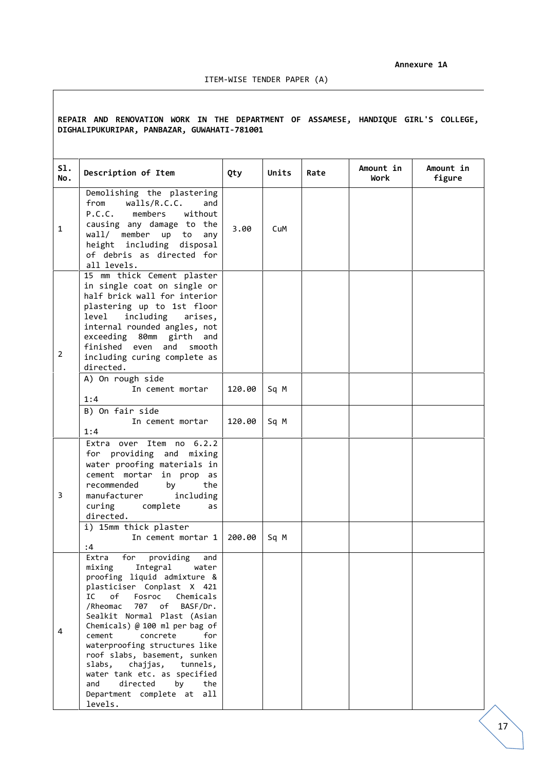### ITEM-WISE TENDER PAPER (A)

## **REPAIR AND RENOVATION WORK IN THE DEPARTMENT OF ASSAMESE, HANDIQUE GIRL'S COLLEGE, DIGHALIPUKURIPAR, PANBAZAR, GUWAHATI-781001**

| S1.<br>No.     | Description of Item                                                                                                                                                                                                                                                                                                                                                                                                                                                                          | Qty    | Units | Rate | Amount in<br>Work | Amount in<br>figure |
|----------------|----------------------------------------------------------------------------------------------------------------------------------------------------------------------------------------------------------------------------------------------------------------------------------------------------------------------------------------------------------------------------------------------------------------------------------------------------------------------------------------------|--------|-------|------|-------------------|---------------------|
| $\mathbf{1}$   | Demolishing the plastering<br>from<br>walls/R.C.C.<br>and<br>P.C.C. members<br>without<br>causing any damage to the<br>wall/ member up to<br>any<br>height including disposal<br>of debris as directed for<br>all levels.                                                                                                                                                                                                                                                                    | 3.00   | CuM   |      |                   |                     |
| $\overline{2}$ | 15 mm thick Cement plaster<br>in single coat on single or<br>half brick wall for interior<br>plastering up to 1st floor<br>including<br>level<br>arises,<br>internal rounded angles, not<br>exceeding 80mm girth and<br>finished even and<br>smooth<br>including curing complete as<br>directed.                                                                                                                                                                                             |        |       |      |                   |                     |
|                | A) On rough side<br>In cement mortar<br>1:4                                                                                                                                                                                                                                                                                                                                                                                                                                                  | 120.00 | Sq M  |      |                   |                     |
|                | B) On fair side<br>In cement mortar<br>1:4                                                                                                                                                                                                                                                                                                                                                                                                                                                   | 120.00 | Sq M  |      |                   |                     |
| 3              | Item no 6.2.2<br>Extra over<br>for providing and mixing<br>water proofing materials in<br>cement mortar in prop as<br>recommended<br>by<br>the<br>manufacturer<br>including<br>curing<br>complete<br>as<br>directed.                                                                                                                                                                                                                                                                         |        |       |      |                   |                     |
|                | i) 15mm thick plaster<br>In cement mortar 1<br>:4                                                                                                                                                                                                                                                                                                                                                                                                                                            | 200.00 | Sq M  |      |                   |                     |
| 4              | for providing<br>Extra<br>and<br>mixing Integral water<br>proofing liquid admixture &<br>plasticiser Conplast X 421<br>of<br>Fosroc Chemicals<br>IC<br>/Rheomac<br>707 of<br>BASF/Dr.<br>Sealkit Normal Plast (Asian<br>Chemicals) @ 100 ml per bag of<br>cement<br>concrete<br>for<br>waterproofing structures like<br>roof slabs, basement, sunken<br>slabs,<br>chajjas, tunnels,<br>water tank etc. as specified<br>directed<br>and<br>by<br>the<br>Department complete at all<br>levels. |        |       |      |                   |                     |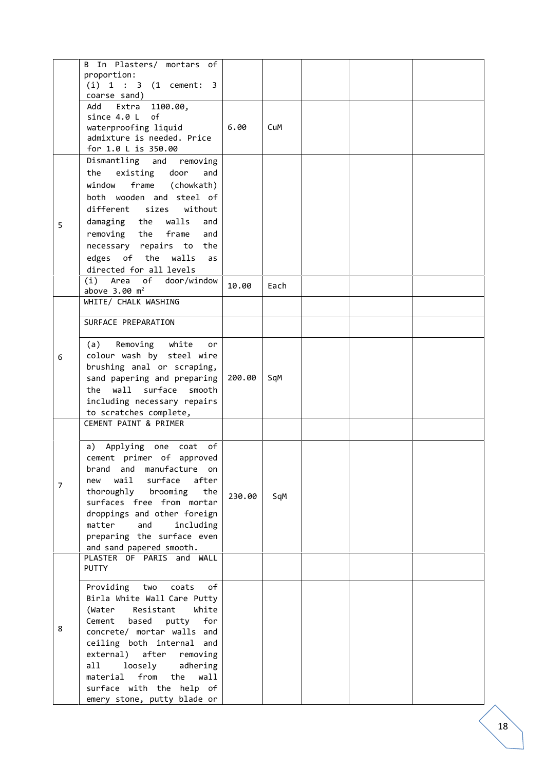|                | B In Plasters/ mortars of<br>proportion:<br>$(i) 1 : 3 (1$ cement: 3<br>coarse sand)                                                                                                                                                                                                                                                                    |        |      |  |  |
|----------------|---------------------------------------------------------------------------------------------------------------------------------------------------------------------------------------------------------------------------------------------------------------------------------------------------------------------------------------------------------|--------|------|--|--|
|                | 1100.00,<br>Add<br>Extra<br>since 4.0 L<br>of<br>waterproofing liquid<br>admixture is needed. Price<br>for 1.0 L is 350.00                                                                                                                                                                                                                              | 6.00   | CuM  |  |  |
| 5              | Dismantling and removing<br>the existing door<br>and<br>frame (chowkath)<br>window<br>both wooden and steel of<br>different sizes<br>without<br>damaging the walls<br>and<br>removing the<br>frame<br>and<br>necessary repairs to the<br>edges of the walls<br>as<br>directed for all levels<br>(i) Area of door/window                                 | 10.00  | Each |  |  |
|                | above $3.00 \text{ m}^2$<br>WHITE/ CHALK WASHING                                                                                                                                                                                                                                                                                                        |        |      |  |  |
| 6              | SURFACE PREPARATION<br>(a)<br>Removing white<br>or<br>colour wash by steel wire<br>brushing anal or scraping,<br>sand papering and preparing<br>wall surface<br>the<br>smooth<br>including necessary repairs<br>to scratches complete,                                                                                                                  | 200.00 | SqM  |  |  |
| $\overline{7}$ | CEMENT PAINT & PRIMER<br>a) Applying one coat of<br>cement primer of approved<br>brand and manufacture<br>on<br>wail<br>surface<br>after<br>new<br>thoroughly brooming<br>the<br>surfaces free from mortar<br>droppings and other foreign<br>matter<br>and<br>including<br>preparing the surface even<br>and sand papered smooth.                       | 230.00 | SqM  |  |  |
|                | PLASTER OF PARIS and<br>WALL<br><b>PUTTY</b>                                                                                                                                                                                                                                                                                                            |        |      |  |  |
| 8              | Providing<br>two<br>coats<br>of<br>Birla White Wall Care Putty<br>White<br>Resistant<br>(Water<br>Cement<br>based<br>for<br>putty<br>concrete/ mortar walls and<br>ceiling both internal and<br>external) after<br>removing<br>loosely<br>all<br>adhering<br>from<br>the<br>material<br>wall<br>surface with the help of<br>emery stone, putty blade or |        |      |  |  |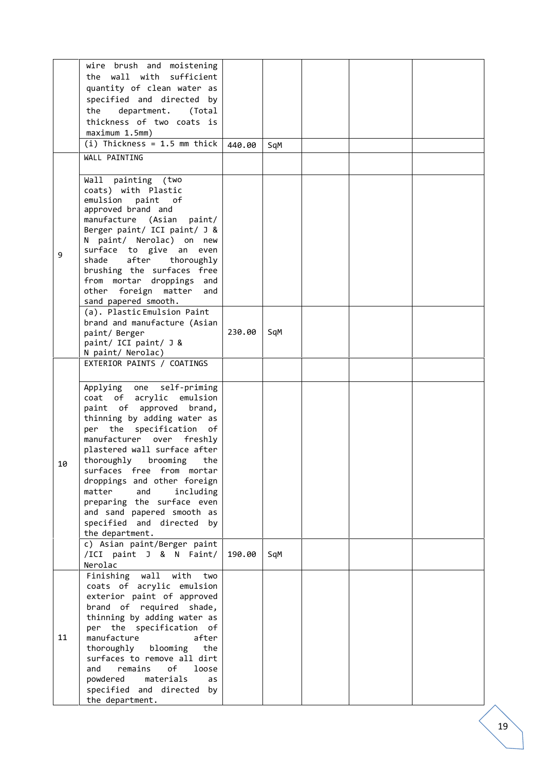|    | wire brush and moistening      |        |     |  |  |
|----|--------------------------------|--------|-----|--|--|
|    |                                |        |     |  |  |
|    | the wall with sufficient       |        |     |  |  |
|    | quantity of clean water as     |        |     |  |  |
|    | specified and directed by      |        |     |  |  |
|    |                                |        |     |  |  |
|    | the<br>department. (Total      |        |     |  |  |
|    | thickness of two coats is      |        |     |  |  |
|    | maximum 1.5mm)                 |        |     |  |  |
|    |                                |        |     |  |  |
|    | (i) Thickness = $1.5$ mm thick | 440.00 | SqM |  |  |
|    | WALL PAINTING                  |        |     |  |  |
|    |                                |        |     |  |  |
|    |                                |        |     |  |  |
|    | Wall painting (two             |        |     |  |  |
|    | coats) with Plastic            |        |     |  |  |
|    | emulsion paint of              |        |     |  |  |
|    |                                |        |     |  |  |
|    | approved brand and             |        |     |  |  |
|    | manufacture (Asian paint/      |        |     |  |  |
|    | Berger paint/ ICI paint/ J &   |        |     |  |  |
|    | N paint/ Nerolac) on new       |        |     |  |  |
|    | surface to give an even        |        |     |  |  |
| 9  |                                |        |     |  |  |
|    | after<br>shade<br>thoroughly   |        |     |  |  |
|    | brushing the surfaces free     |        |     |  |  |
|    | from mortar droppings and      |        |     |  |  |
|    | other foreign matter and       |        |     |  |  |
|    | sand papered smooth.           |        |     |  |  |
|    |                                |        |     |  |  |
|    | (a). Plastic Emulsion Paint    |        |     |  |  |
|    | brand and manufacture (Asian   |        |     |  |  |
|    | paint/ Berger                  | 230.00 | SqM |  |  |
|    | paint/ ICI paint/ J &          |        |     |  |  |
|    | N paint/ Nerolac)              |        |     |  |  |
|    |                                |        |     |  |  |
|    | EXTERIOR PAINTS / COATINGS     |        |     |  |  |
|    |                                |        |     |  |  |
|    | self-priming<br>Applying one   |        |     |  |  |
|    |                                |        |     |  |  |
|    | coat of acrylic emulsion       |        |     |  |  |
|    | paint of approved brand,       |        |     |  |  |
|    | thinning by adding water as    |        |     |  |  |
|    | per the specification of       |        |     |  |  |
|    |                                |        |     |  |  |
|    | manufacturer over<br>freshly   |        |     |  |  |
|    | plastered wall surface after   |        |     |  |  |
| 10 | thoroughly brooming<br>the     |        |     |  |  |
|    | surfaces free from mortar      |        |     |  |  |
|    |                                |        |     |  |  |
|    | droppings and other foreign    |        |     |  |  |
|    | matter<br>and<br>including     |        |     |  |  |
|    | preparing the surface even     |        |     |  |  |
|    | and sand papered smooth as     |        |     |  |  |
|    | specified and directed by      |        |     |  |  |
|    | the department.                |        |     |  |  |
|    |                                |        |     |  |  |
|    | c) Asian paint/Berger paint    |        |     |  |  |
|    | /ICI paint J & N Faint/        | 190.00 | SqM |  |  |
|    | Nerolac                        |        |     |  |  |
|    | Finishing wall<br>with<br>two  |        |     |  |  |
|    |                                |        |     |  |  |
|    | coats of acrylic emulsion      |        |     |  |  |
|    | exterior paint of approved     |        |     |  |  |
|    | brand of required shade,       |        |     |  |  |
|    | thinning by adding water as    |        |     |  |  |
|    | per the specification of       |        |     |  |  |
|    |                                |        |     |  |  |
| 11 | manufacture<br>after           |        |     |  |  |
|    | thoroughly<br>blooming<br>the  |        |     |  |  |
|    | surfaces to remove all dirt    |        |     |  |  |
|    | of<br>and<br>remains<br>loose  |        |     |  |  |
|    | materials<br>powdered<br>as    |        |     |  |  |
|    |                                |        |     |  |  |
|    | specified and directed by      |        |     |  |  |
|    | the department.                |        |     |  |  |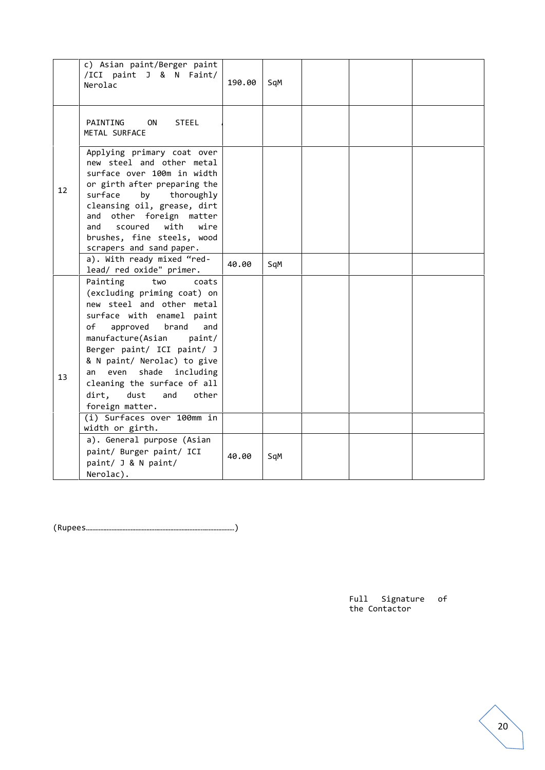|    | c) Asian paint/Berger paint<br>/ICI paint J & N Faint/<br>Nerolac                                                                                                                                                                                                                                                                                                                                                       | 190.00 | SqM |  |  |
|----|-------------------------------------------------------------------------------------------------------------------------------------------------------------------------------------------------------------------------------------------------------------------------------------------------------------------------------------------------------------------------------------------------------------------------|--------|-----|--|--|
|    | PAINTING<br><b>ON</b><br><b>STEEL</b><br>METAL SURFACE                                                                                                                                                                                                                                                                                                                                                                  |        |     |  |  |
| 12 | Applying primary coat over<br>new steel and other metal<br>surface over 100m in width<br>or girth after preparing the<br>thoroughly<br>surface<br>by<br>cleansing oil, grease, dirt<br>other foreign matter<br>and<br>with<br>wire<br>scoured<br>and<br>brushes, fine steels, wood<br>scrapers and sand paper.                                                                                                          |        |     |  |  |
|    | a). With ready mixed "red-<br>lead/ red oxide" primer.                                                                                                                                                                                                                                                                                                                                                                  | 40.00  | SqM |  |  |
| 13 | Painting<br>two<br>coats<br>(excluding priming coat) on<br>new steel and other metal<br>surface with enamel paint<br>of<br>approved<br>brand<br>and<br>manufacture(Asian<br>paint/<br>Berger paint/ ICI paint/ J<br>& N paint/ Nerolac) to give<br>even<br>shade<br>including<br>an<br>cleaning the surface of all<br>dirt,<br>dust<br>and<br>other<br>foreign matter.<br>(i) Surfaces over 100mm in<br>width or girth. |        |     |  |  |
|    | a). General purpose (Asian<br>paint/ Burger paint/ ICI<br>paint/ J & N paint/<br>Nerolac).                                                                                                                                                                                                                                                                                                                              | 40.00  | SqM |  |  |

(Rupees…………………………………………………………………………………)

Full Signature of the Contactor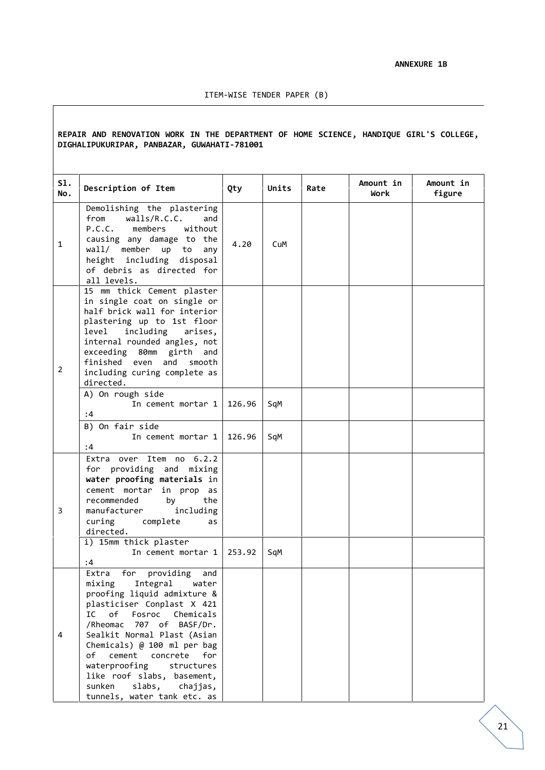#### **REPAIR AND RENOVATION WORK IN THE DEPARTMENT OF HOME SCIENCE, HANDIQUE GIRL'S COLLEGE, DIGHALIPUKURIPAR, PANBAZAR, GUWAHATI-781001**

| 51.<br>No.     | Description of Item                                                                                                                                                                                                                                                                                                                                                              | Qty              | Units      | Rate | Amount in<br>Work | Amount in<br>figure |
|----------------|----------------------------------------------------------------------------------------------------------------------------------------------------------------------------------------------------------------------------------------------------------------------------------------------------------------------------------------------------------------------------------|------------------|------------|------|-------------------|---------------------|
| $\mathbf{1}$   | Demolishing the plastering<br>from<br>walls/R.C.C.<br>and<br>P.C.C.<br>members<br>without<br>causing any damage to the<br>wall/ member up to<br>any<br>height including disposal<br>of debris as directed for<br>all levels.                                                                                                                                                     | 4.20             | CuM        |      |                   |                     |
| $\overline{2}$ | 15 mm thick Cement plaster<br>in single coat on single or<br>half brick wall for interior<br>plastering up to 1st floor<br>including arises,<br>level<br>internal rounded angles, not<br>exceeding 80mm girth and<br>finished even and<br>smooth<br>including curing complete as<br>directed.<br>A) On rough side                                                                |                  |            |      |                   |                     |
|                | In cement mortar 1<br>:4<br>B) On fair side<br>In cement mortar 1<br>:4                                                                                                                                                                                                                                                                                                          | 126.96<br>126.96 | SqM<br>SqM |      |                   |                     |
| 3              | Extra over Item no 6.2.2<br>for providing and mixing<br>water proofing materials in<br>cement mortar in prop as<br>recommended<br>by<br>the<br>manufacturer<br>including<br>curing<br>complete<br>as<br>directed.                                                                                                                                                                |                  |            |      |                   |                     |
|                | i) 15mm thick plaster<br>In cement mortar 1<br>:4                                                                                                                                                                                                                                                                                                                                | 253.92           | SqM        |      |                   |                     |
| 4              | for<br>providing<br>Extra<br>and<br>mixing Integral water<br>proofing liquid admixture &<br>plasticiser Conplast X 421<br>of<br>IC<br>Fosroc<br>Chemicals<br>/Rheomac<br>707 of BASF/Dr.<br>Sealkit Normal Plast (Asian<br>Chemicals) @ 100 ml per bag<br>of cement concrete<br>for<br>waterproofing<br>structures<br>like roof slabs, basement,<br>slabs,<br>sunken<br>chajjas, |                  |            |      |                   |                     |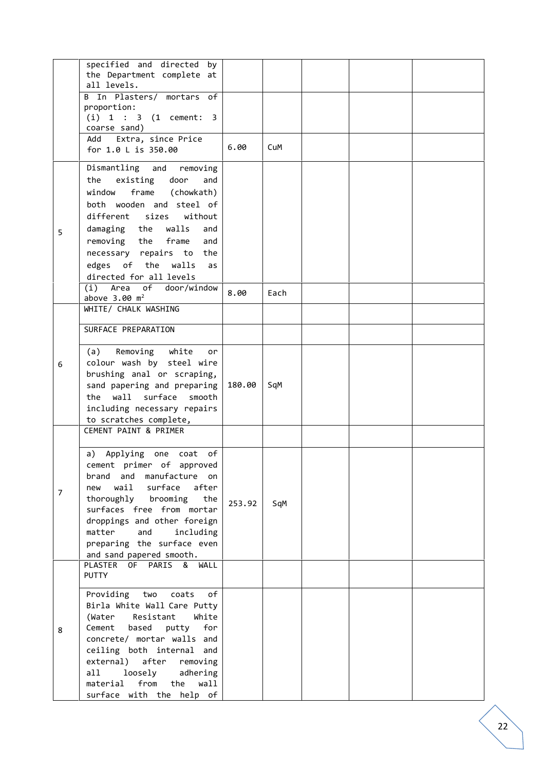|                | specified and directed<br>by<br>the Department complete at   |        |      |  |  |
|----------------|--------------------------------------------------------------|--------|------|--|--|
|                | all levels.<br>B In Plasters/ mortars of                     |        |      |  |  |
|                | proportion:                                                  |        |      |  |  |
|                | $(i) 1 : 3 (1$ cement: 3<br>coarse sand)                     |        |      |  |  |
|                | Extra, since Price<br>Add                                    | 6.00   | CuM  |  |  |
|                | for 1.0 L is 350.00                                          |        |      |  |  |
|                | Dismantling and<br>removing<br>existing door<br>the<br>and   |        |      |  |  |
|                | frame (chowkath)<br>window                                   |        |      |  |  |
|                | both wooden and steel of                                     |        |      |  |  |
|                | without<br>different sizes                                   |        |      |  |  |
| 5              | damaging the<br>walls<br>and<br>removing the<br>frame<br>and |        |      |  |  |
|                | necessary repairs to the                                     |        |      |  |  |
|                | edges of the walls<br>as                                     |        |      |  |  |
|                | directed for all levels<br>Area<br>of<br>door/window<br>(i)  |        |      |  |  |
|                | above $3.00 \text{ m}^2$                                     | 8.00   | Each |  |  |
|                | WHITE/ CHALK WASHING                                         |        |      |  |  |
|                | SURFACE PREPARATION                                          |        |      |  |  |
|                | Removing white<br>(a)<br>or                                  |        |      |  |  |
| 6              | colour wash by steel wire<br>brushing anal or scraping,      |        |      |  |  |
|                | sand papering and preparing                                  | 180.00 | SqM  |  |  |
|                | surface<br>the<br>wall<br>smooth                             |        |      |  |  |
|                | including necessary repairs<br>to scratches complete,        |        |      |  |  |
|                | CEMENT PAINT & PRIMER                                        |        |      |  |  |
|                | a) Applying one coat of                                      |        |      |  |  |
|                | cement primer of approved                                    |        |      |  |  |
|                | brand and manufacture on<br>wail<br>surface after<br>new     |        |      |  |  |
| $\overline{7}$ | thoroughly brooming the                                      | 253.92 |      |  |  |
|                | surfaces free from mortar                                    |        | SqM  |  |  |
|                | droppings and other foreign<br>matter and<br>including       |        |      |  |  |
|                | preparing the surface even                                   |        |      |  |  |
|                | and sand papered smooth.<br>PLASTER OF PARIS & WALL          |        |      |  |  |
|                | <b>PUTTY</b>                                                 |        |      |  |  |
|                | Providing two coats of                                       |        |      |  |  |
|                | Birla White Wall Care Putty                                  |        |      |  |  |
| 8              | (Water<br>Resistant<br>White<br>Cement based<br>putty<br>for |        |      |  |  |
|                | concrete/ mortar walls and                                   |        |      |  |  |
|                | ceiling both internal and<br>external) after removing        |        |      |  |  |
|                | loosely adhering<br>all                                      |        |      |  |  |
|                | from the<br>wall<br>material                                 |        |      |  |  |
|                | surface with the help of                                     |        |      |  |  |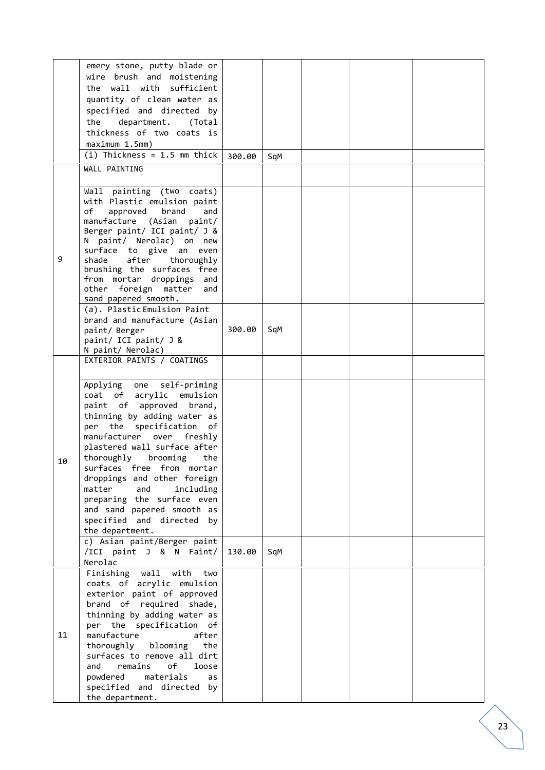|    | emery stone, putty blade or<br>wire brush and moistening<br>the wall with sufficient<br>quantity of clean water as<br>specified and directed by<br>department. (Total<br>the<br>thickness of two coats is<br>maximum 1.5mm)<br>$(i)$ Thickness = 1.5 mm thick<br>WALL PAINTING                                                                                                                                                                                                                                   | 300.00 | SqM |  |  |
|----|------------------------------------------------------------------------------------------------------------------------------------------------------------------------------------------------------------------------------------------------------------------------------------------------------------------------------------------------------------------------------------------------------------------------------------------------------------------------------------------------------------------|--------|-----|--|--|
| 9  | Wall painting (two coats)<br>with Plastic emulsion paint<br>approved<br>brand<br>of<br>and<br>manufacture (Asian<br>paint/<br>Berger paint/ ICI paint/ J &<br>N paint/ Nerolac) on new<br>surface to give an even<br>after<br>thoroughly<br>shade<br>brushing the surfaces free<br>from mortar droppings and<br>foreign matter<br>other<br>and<br>sand papered smooth.                                                                                                                                           |        |     |  |  |
|    | (a). Plastic Emulsion Paint<br>brand and manufacture (Asian<br>paint/ Berger<br>paint/ ICI paint/ J &<br>N paint/ Nerolac)<br>EXTERIOR PAINTS / COATINGS                                                                                                                                                                                                                                                                                                                                                         | 300.00 | SqM |  |  |
| 10 | self-priming<br>Applying one<br>coat of acrylic emulsion<br>paint of approved brand,<br>thinning by adding water as<br>per the specification of<br>manufacturer over<br>freshly<br>plastered wall surface after<br>thoroughly brooming<br>the<br>surfaces free from mortar<br>droppings and other foreign<br>matter<br>and<br>including<br>preparing the surface even<br>and sand papered smooth as<br>specified and directed<br>by<br>the department.<br>c) Asian paint/Berger paint<br>/ICI paint J & N Faint/ | 130.00 | SqM |  |  |
| 11 | Nerolac<br>Finishing wall<br>with<br>two<br>coats of acrylic emulsion<br>exterior paint of approved<br>brand of required shade,<br>thinning by adding water as<br>per the specification of<br>manufacture<br>after<br>thoroughly blooming<br>the<br>surfaces to remove all dirt<br>and<br>remains<br>оf<br>loose<br>powdered<br>materials<br>as<br>specified and directed by<br>the department.                                                                                                                  |        |     |  |  |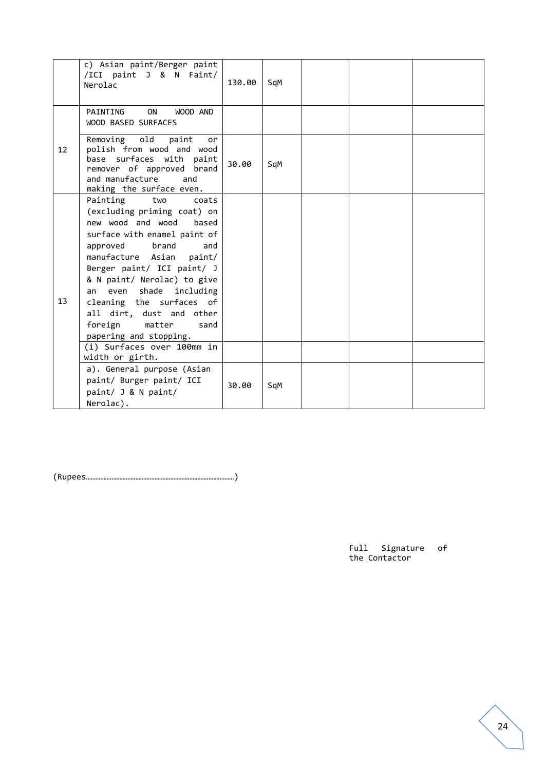|                   | c) Asian paint/Berger paint<br>/ICI paint J & N Faint/<br>Nerolac                                                                                                                                                                                                                                                                                                                                                                                                                                                                         | 130.00 | SqM |  |  |
|-------------------|-------------------------------------------------------------------------------------------------------------------------------------------------------------------------------------------------------------------------------------------------------------------------------------------------------------------------------------------------------------------------------------------------------------------------------------------------------------------------------------------------------------------------------------------|--------|-----|--|--|
|                   | PAINTING<br>ON<br>WOOD AND<br><b>WOOD BASED SURFACES</b>                                                                                                                                                                                                                                                                                                                                                                                                                                                                                  |        |     |  |  |
| $12 \overline{ }$ | Removing old<br>paint<br>or<br>polish from wood and wood<br>base surfaces with paint<br>remover of approved brand<br>and manufacture<br>and<br>making the surface even.                                                                                                                                                                                                                                                                                                                                                                   | 30.00  | SqM |  |  |
| 13                | Painting<br>two<br>coats<br>(excluding priming coat) on<br>new wood and wood<br>based<br>surface with enamel paint of<br>approved<br>brand<br>and<br>manufacture Asian<br>paint/<br>Berger paint/ ICI paint/ J<br>& N paint/ Nerolac) to give<br>even shade including<br>an<br>cleaning the surfaces of<br>all dirt, dust and other<br>foreign<br>matter<br>sand<br>papering and stopping.<br>(i) Surfaces over 100mm in<br>width or girth.<br>a). General purpose (Asian<br>paint/ Burger paint/ ICI<br>paint/ J & N paint/<br>Nerolac). | 30.00  | SqM |  |  |

(Rupees…………………………………………………………………………………)

Full Signature of the Contactor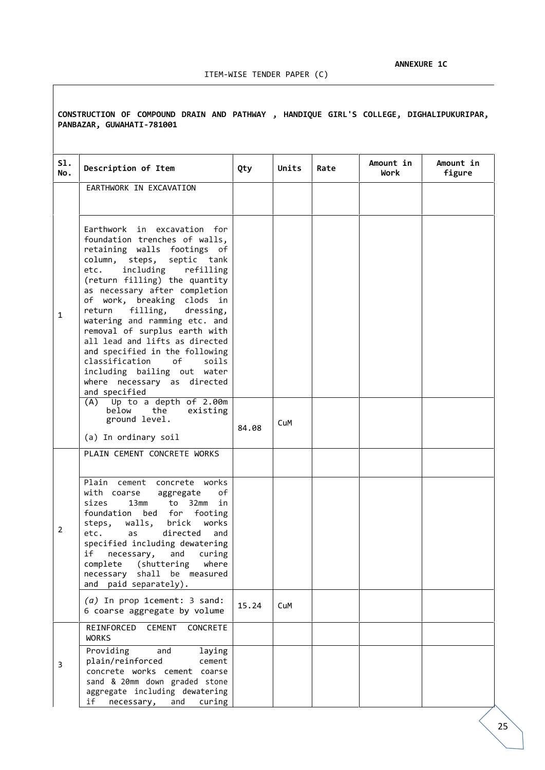**CONSTRUCTION OF COMPOUND DRAIN AND PATHWAY , HANDIQUE GIRL'S COLLEGE, DIGHALIPUKURIPAR, PANBAZAR, GUWAHATI-781001**

| 51.<br>No.     | Description of Item                                                                                                                                                                                                                                                                                                                                                                                                                                                                                                                                                                                                                                          | Qty   | Units | Rate | Amount in<br>Work | Amount in<br>figure |
|----------------|--------------------------------------------------------------------------------------------------------------------------------------------------------------------------------------------------------------------------------------------------------------------------------------------------------------------------------------------------------------------------------------------------------------------------------------------------------------------------------------------------------------------------------------------------------------------------------------------------------------------------------------------------------------|-------|-------|------|-------------------|---------------------|
|                | EARTHWORK IN EXCAVATION                                                                                                                                                                                                                                                                                                                                                                                                                                                                                                                                                                                                                                      |       |       |      |                   |                     |
| $\mathbf{1}$   | Earthwork in excavation for<br>foundation trenches of walls,<br>retaining walls footings of<br>steps, septic tank<br>column,<br>including<br>refilling<br>etc.<br>(return filling) the quantity<br>as necessary after completion<br>of work, breaking clods in<br>dressing,<br>return<br>filling,<br>watering and ramming etc. and<br>removal of surplus earth with<br>all lead and lifts as directed<br>and specified in the following<br>classification<br>of<br>soils<br>including bailing out water<br>where necessary as directed<br>and specified<br>$(A)$ Up to a depth of 2.00m<br>below<br>the<br>existing<br>ground level.<br>(a) In ordinary soil | 84.08 | CuM   |      |                   |                     |
|                | PLAIN CEMENT CONCRETE WORKS                                                                                                                                                                                                                                                                                                                                                                                                                                                                                                                                                                                                                                  |       |       |      |                   |                     |
| $\overline{2}$ | Plain cement concrete works<br>with coarse<br>оf<br>aggregate<br>sizes<br>13mm<br>to<br>32mm<br>in<br>foundation<br>bed for footing<br>walls, brick<br>works<br>steps,<br>etc.<br>directed<br>as<br>and<br>specified including dewatering<br>if<br>necessary,<br>and<br>curing<br>complete (shuttering<br>where<br>shall be measured<br>necessary<br>and paid separately).                                                                                                                                                                                                                                                                                   |       |       |      |                   |                     |
|                | (a) In prop 1cement: 3 sand:<br>6 coarse aggregate by volume                                                                                                                                                                                                                                                                                                                                                                                                                                                                                                                                                                                                 | 15.24 | CuM   |      |                   |                     |
| 3              | REINFORCED<br><b>CEMENT</b><br>CONCRETE<br><b>WORKS</b><br>Providing<br>and<br>laying<br>plain/reinforced<br>cement<br>concrete works cement coarse<br>sand & 20mm down graded stone<br>aggregate including dewatering<br>if<br>necessary,<br>and<br>curing                                                                                                                                                                                                                                                                                                                                                                                                  |       |       |      |                   |                     |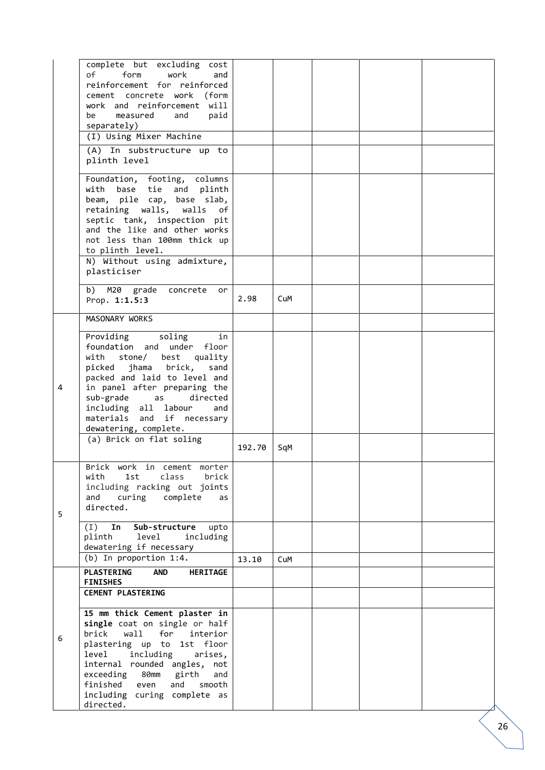|   | complete but excluding cost<br>of<br>form<br>work<br>and<br>reinforcement for reinforced<br>cement concrete work (form<br>work and reinforcement will<br>be<br>measured<br>paid<br>and<br>separately)<br>(I) Using Mixer Machine                                                                                |        |     |  |  |
|---|-----------------------------------------------------------------------------------------------------------------------------------------------------------------------------------------------------------------------------------------------------------------------------------------------------------------|--------|-----|--|--|
|   | (A) In substructure up to<br>plinth level                                                                                                                                                                                                                                                                       |        |     |  |  |
|   | Foundation, footing, columns<br>with base tie and plinth<br>beam, pile cap, base slab,<br>retaining walls, walls of<br>septic tank, inspection pit<br>and the like and other works<br>not less than 100mm thick up<br>to plinth level.                                                                          |        |     |  |  |
|   | N) Without using admixture,<br>plasticiser                                                                                                                                                                                                                                                                      |        |     |  |  |
|   | b) M20 grade concrete or<br>Prop. 1:1.5:3                                                                                                                                                                                                                                                                       | 2.98   | CuM |  |  |
|   | MASONARY WORKS                                                                                                                                                                                                                                                                                                  |        |     |  |  |
| 4 | Providing<br>in<br>soling<br>foundation and under floor<br>with stone/ best quality<br>picked jhama brick, sand<br>packed and laid to level and<br>in panel after preparing the<br>sub-grade<br>directed<br>as<br>including all labour<br>and<br>materials and if necessary<br>dewatering, complete.            |        |     |  |  |
|   | (a) Brick on flat soling                                                                                                                                                                                                                                                                                        | 192.70 | SqM |  |  |
| 5 | Brick work in cement morter<br>class<br>1st<br>with<br>brick<br>including racking out joints<br>curing complete<br>and<br>as<br>directed.<br>Sub-structure<br>upto<br>(I)<br>In<br>plinth level<br>including                                                                                                    |        |     |  |  |
|   | dewatering if necessary                                                                                                                                                                                                                                                                                         |        |     |  |  |
|   | $(b)$ In proportion 1:4.<br><b>PLASTERING</b><br><b>AND</b><br><b>HERITAGE</b><br><b>FINISHES</b><br><b>CEMENT PLASTERING</b>                                                                                                                                                                                   | 13.10  | CuM |  |  |
| 6 | 15 mm thick Cement plaster in<br>single coat on single or half<br>brick<br>wall<br>for<br>interior<br>plastering up to 1st floor<br>including<br>level<br>arises,<br>internal rounded angles, not<br>exceeding 80mm girth<br>and<br>finished even<br>and<br>smooth<br>including curing complete as<br>directed. |        |     |  |  |